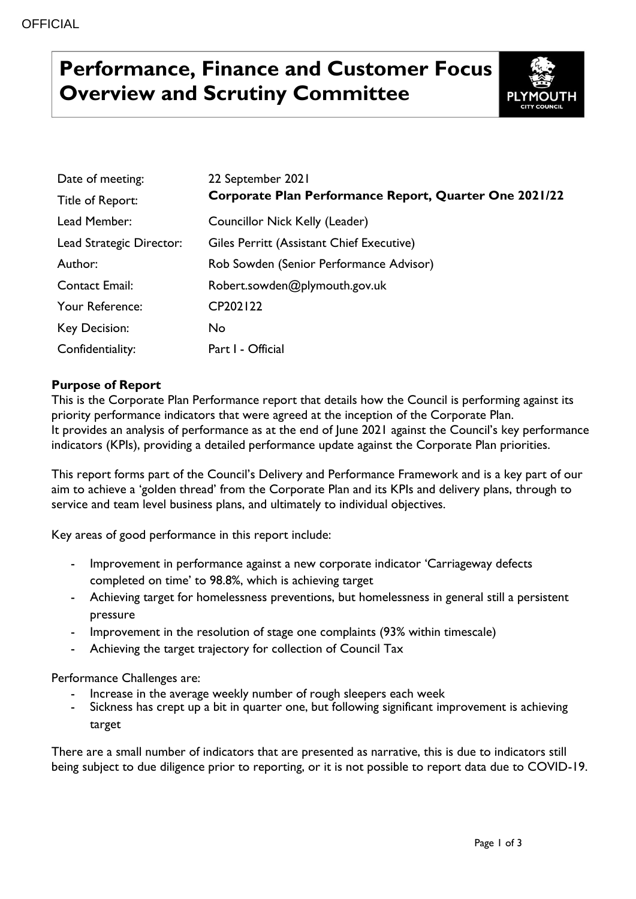# **Performance, Finance and Customer Focus Overview and Scrutiny Committee**



| Date of meeting:         | 22 September 2021                                      |
|--------------------------|--------------------------------------------------------|
| Title of Report:         | Corporate Plan Performance Report, Quarter One 2021/22 |
| Lead Member:             | Councillor Nick Kelly (Leader)                         |
| Lead Strategic Director: | Giles Perritt (Assistant Chief Executive)              |
| Author:                  | Rob Sowden (Senior Performance Advisor)                |
| <b>Contact Email:</b>    | Robert.sowden@plymouth.gov.uk                          |
| Your Reference:          | CP202122                                               |
| Key Decision:            | No                                                     |
| Confidentiality:         | Part I - Official                                      |

#### **Purpose of Report**

This is the Corporate Plan Performance report that details how the Council is performing against its priority performance indicators that were agreed at the inception of the Corporate Plan. It provides an analysis of performance as at the end of June 2021 against the Council's key performance indicators (KPIs), providing a detailed performance update against the Corporate Plan priorities.

This report forms part of the Council's Delivery and Performance Framework and is a key part of our aim to achieve a 'golden thread' from the Corporate Plan and its KPIs and delivery plans, through to service and team level business plans, and ultimately to individual objectives.

Key areas of good performance in this report include:

- Improvement in performance against a new corporate indicator 'Carriageway defects completed on time' to 98.8%, which is achieving target
- Achieving target for homelessness preventions, but homelessness in general still a persistent pressure
- Improvement in the resolution of stage one complaints (93% within timescale)
- Achieving the target trajectory for collection of Council Tax

Performance Challenges are:

- Increase in the average weekly number of rough sleepers each week
- Sickness has crept up a bit in quarter one, but following significant improvement is achieving target

There are a small number of indicators that are presented as narrative, this is due to indicators still being subject to due diligence prior to reporting, or it is not possible to report data due to COVID-19.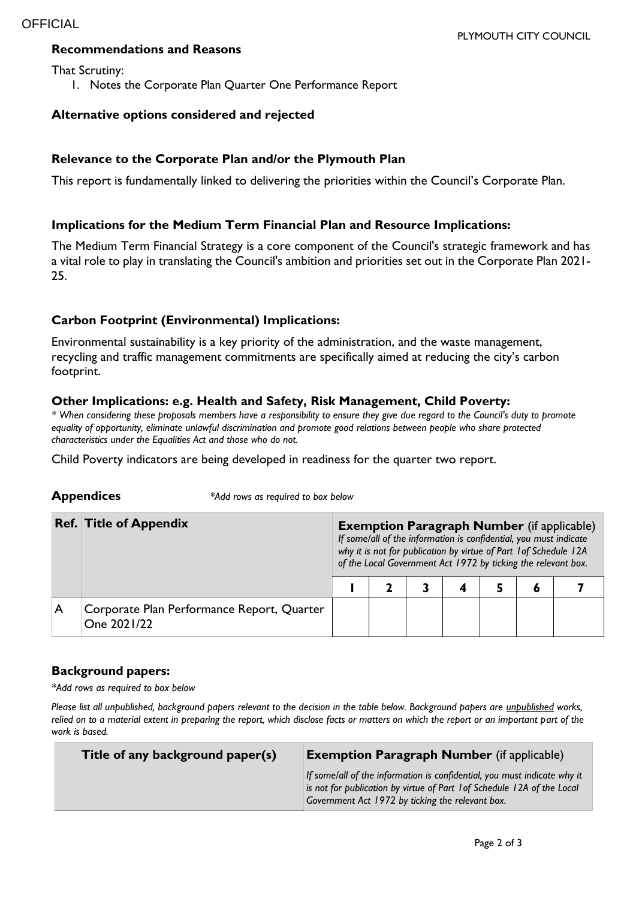#### **Recommendations and Reasons**

That Scrutiny:

1. Notes the Corporate Plan Quarter One Performance Report

#### **Alternative options considered and rejected**

#### **Relevance to the Corporate Plan and/or the Plymouth Plan**

This report is fundamentally linked to delivering the priorities within the Council's Corporate Plan.

#### **Implications for the Medium Term Financial Plan and Resource Implications:**

The Medium Term Financial Strategy is a core component of the Council's strategic framework and has a vital role to play in translating the Council's ambition and priorities set out in the Corporate Plan 2021- 25.

#### **Carbon Footprint (Environmental) Implications:**

**Appendices** *\*Add rows as required to box below*

Environmental sustainability is a key priority of the administration, and the waste management, recycling and traffic management commitments are specifically aimed at reducing the city's carbon footprint.

#### **Other Implications: e.g. Health and Safety, Risk Management, Child Poverty:**

*\* When considering these proposals members have a responsibility to ensure they give due regard to the Council's duty to promote equality of opportunity, eliminate unlawful discrimination and promote good relations between people who share protected characteristics under the Equalities Act and those who do not.*

Child Poverty indicators are being developed in readiness for the quarter two report.

|   | <b>Ref. Title of Appendix</b>                             |  | <b>Exemption Paragraph Number (if applicable)</b><br>If some/all of the information is confidential, you must indicate<br>why it is not for publication by virtue of Part 1 of Schedule 12A<br>of the Local Government Act 1972 by ticking the relevant box. |  |  |  |  |  |  |
|---|-----------------------------------------------------------|--|--------------------------------------------------------------------------------------------------------------------------------------------------------------------------------------------------------------------------------------------------------------|--|--|--|--|--|--|
|   |                                                           |  |                                                                                                                                                                                                                                                              |  |  |  |  |  |  |
| A | Corporate Plan Performance Report, Quarter<br>One 2021/22 |  |                                                                                                                                                                                                                                                              |  |  |  |  |  |  |

#### **Background papers:**

*\*Add rows as required to box below*

*Please list all unpublished, background papers relevant to the decision in the table below. Background papers are unpublished works, relied on to a material extent in preparing the report, which disclose facts or matters on which the report or an important part of the work is based.*

| Title of any background paper(s) | <b>Exemption Paragraph Number</b> (if applicable)                                                                                                                                                       |  |  |  |  |
|----------------------------------|---------------------------------------------------------------------------------------------------------------------------------------------------------------------------------------------------------|--|--|--|--|
|                                  | If some/all of the information is confidential, you must indicate why it<br>is not for publication by virtue of Part 1 of Schedule 12A of the Local<br>Government Act 1972 by ticking the relevant box. |  |  |  |  |